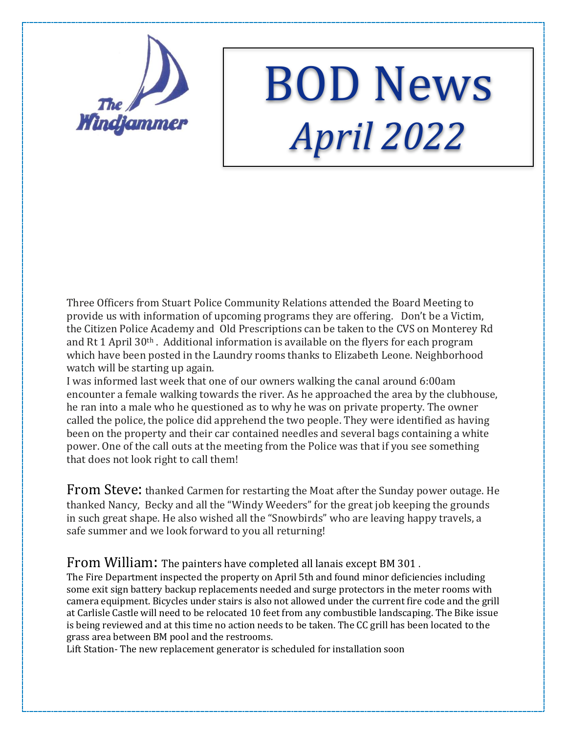

## BOD News *April 2022*

Three Officers from Stuart Police Community Relations attended the Board Meeting to provide us with information of upcoming programs they are offering. Don't be a Victim, the Citizen Police Academy and Old Prescriptions can be taken to the CVS on Monterey Rd and Rt 1 April 30th . Additional information is available on the flyers for each program which have been posted in the Laundry rooms thanks to Elizabeth Leone. Neighborhood watch will be starting up again.

I was informed last week that one of our owners walking the canal around 6:00am encounter a female walking towards the river. As he approached the area by the clubhouse, he ran into a male who he questioned as to why he was on private property. The owner called the police, the police did apprehend the two people. They were identified as having been on the property and their car contained needles and several bags containing a white power. One of the call outs at the meeting from the Police was that if you see something that does not look right to call them!

From Steve: thanked Carmen for restarting the Moat after the Sunday power outage. He thanked Nancy, Becky and all the "Windy Weeders" for the great job keeping the grounds in such great shape. He also wished all the "Snowbirds" who are leaving happy travels, a safe summer and we look forward to you all returning!

## From William: The painters have completed all lanais except BM 301 .

The Fire Department inspected the property on April 5th and found minor deficiencies including some exit sign battery backup replacements needed and surge protectors in the meter rooms with camera equipment. Bicycles under stairs is also not allowed under the current fire code and the grill at Carlisle Castle will need to be relocated 10 feet from any combustible landscaping. The Bike issue is being reviewed and at this time no action needs to be taken. The CC grill has been located to the grass area between BM pool and the restrooms.

Lift Station- The new replacement generator is scheduled for installation soon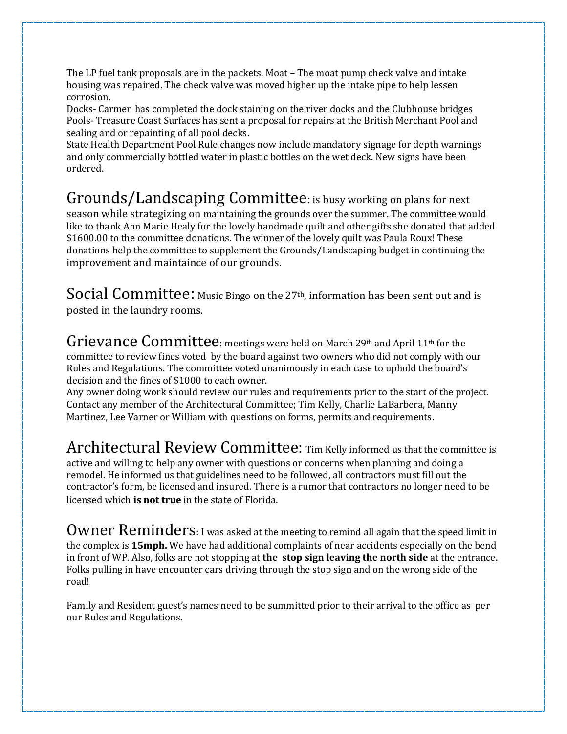The LP fuel tank proposals are in the packets. Moat – The moat pump check valve and intake housing was repaired. The check valve was moved higher up the intake pipe to help lessen corrosion.

Docks- Carmen has completed the dock staining on the river docks and the Clubhouse bridges Pools- Treasure Coast Surfaces has sent a proposal for repairs at the British Merchant Pool and sealing and or repainting of all pool decks.

State Health Department Pool Rule changes now include mandatory signage for depth warnings and only commercially bottled water in plastic bottles on the wet deck. New signs have been ordered.

## Grounds/Landscaping Committee: is busy working on plans for next

season while strategizing on maintaining the grounds over the summer. The committee would like to thank Ann Marie Healy for the lovely handmade quilt and other gifts she donated that added \$1600.00 to the committee donations. The winner of the lovely quilt was Paula Roux! These donations help the committee to supplement the Grounds/Landscaping budget in continuing the improvement and maintaince of our grounds.

Social Committee: Music Bingo on the 27<sup>th</sup>, information has been sent out and is posted in the laundry rooms.

Grievance Committee: meetings were held on March 29th and April 11th for the committee to review fines voted by the board against two owners who did not comply with our Rules and Regulations. The committee voted unanimously in each case to uphold the board's decision and the fines of \$1000 to each owner.

Any owner doing work should review our rules and requirements prior to the start of the project. Contact any member of the Architectural Committee; Tim Kelly, Charlie LaBarbera, Manny Martinez, Lee Varner or William with questions on forms, permits and requirements.

Architectural Review Committee: Tim Kelly informed us that the committee is active and willing to help any owner with questions or concerns when planning and doing a remodel. He informed us that guidelines need to be followed, all contractors must fill out the contractor's form, be licensed and insured. There is a rumor that contractors no longer need to be licensed which **is not true** in the state of Florida.

Owner Reminders: I was asked at the meeting to remind all again that the speed limit in the complex is **15mph.** We have had additional complaints of near accidents especially on the bend in front of WP. Also, folks are not stopping at **the stop sign leaving the north side** at the entrance. Folks pulling in have encounter cars driving through the stop sign and on the wrong side of the road!

Family and Resident guest's names need to be summitted prior to their arrival to the office as per our Rules and Regulations.